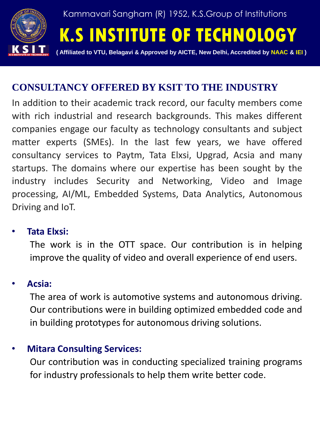

# **CONSULTANCY OFFERED BY KSIT TO THE INDUSTRY**

In addition to their academic track record, our faculty members come with rich industrial and research backgrounds. This makes different companies engage our faculty as technology consultants and subject matter experts (SMEs). In the last few years, we have offered consultancy services to Paytm, Tata Elxsi, Upgrad, Acsia and many startups. The domains where our expertise has been sought by the industry includes Security and Networking, Video and Image processing, AI/ML, Embedded Systems, Data Analytics, Autonomous Driving and IoT.

### • **Tata Elxsi:**

The work is in the OTT space. Our contribution is in helping improve the quality of video and overall experience of end users.

### • **Acsia:**

The area of work is automotive systems and autonomous driving. Our contributions were in building optimized embedded code and in building prototypes for autonomous driving solutions.

## • **Mitara Consulting Services:**

Our contribution was in conducting specialized training programs for industry professionals to help them write better code.